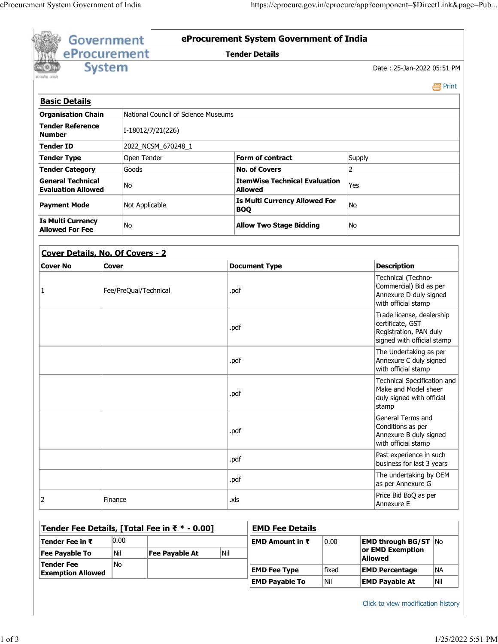|                                                     |               | Government        |                                               |                                                                                               | <b>Tender Details</b>                              |                          |                                                                                                       |           |  |
|-----------------------------------------------------|---------------|-------------------|-----------------------------------------------|-----------------------------------------------------------------------------------------------|----------------------------------------------------|--------------------------|-------------------------------------------------------------------------------------------------------|-----------|--|
| eProcurement                                        |               |                   |                                               |                                                                                               |                                                    |                          |                                                                                                       |           |  |
|                                                     | <b>System</b> |                   |                                               |                                                                                               |                                                    |                          | Date: 25-Jan-2022 05:51 PM                                                                            |           |  |
|                                                     |               |                   |                                               |                                                                                               |                                                    |                          |                                                                                                       | e Print   |  |
| <b>Basic Details</b>                                |               |                   |                                               |                                                                                               |                                                    |                          |                                                                                                       |           |  |
| <b>Organisation Chain</b>                           |               |                   | National Council of Science Museums           |                                                                                               |                                                    |                          |                                                                                                       |           |  |
| <b>Tender Reference</b>                             |               | I-18012/7/21(226) |                                               |                                                                                               |                                                    |                          |                                                                                                       |           |  |
| <b>Number</b>                                       |               |                   |                                               |                                                                                               |                                                    |                          |                                                                                                       |           |  |
| <b>Tender ID</b>                                    |               |                   | 2022_NCSM_670248_1                            |                                                                                               |                                                    |                          |                                                                                                       |           |  |
| <b>Tender Type</b><br><b>Tender Category</b>        |               | Open Tender       |                                               |                                                                                               | <b>Form of contract</b><br><b>No. of Covers</b>    | Supply<br>$\overline{2}$ |                                                                                                       |           |  |
| <b>General Technical</b>                            |               | Goods             |                                               |                                                                                               | <b>ItemWise Technical Evaluation</b>               |                          |                                                                                                       |           |  |
| <b>Evaluation Allowed</b>                           |               | No.               |                                               |                                                                                               | <b>Allowed</b>                                     | Yes                      |                                                                                                       |           |  |
| <b>Payment Mode</b>                                 |               | Not Applicable    |                                               |                                                                                               | <b>Is Multi Currency Allowed For</b><br><b>BOQ</b> | No                       |                                                                                                       |           |  |
| <b>Is Multi Currency</b><br><b>Allowed For Fee</b>  |               | No                |                                               |                                                                                               | <b>Allow Two Stage Bidding</b>                     | No                       |                                                                                                       |           |  |
|                                                     |               |                   |                                               |                                                                                               |                                                    |                          |                                                                                                       |           |  |
| <b>Cover Details, No. Of Covers - 2</b>             |               |                   |                                               |                                                                                               |                                                    |                          |                                                                                                       |           |  |
| <b>Cover No</b>                                     | <b>Cover</b>  |                   |                                               |                                                                                               | <b>Document Type</b>                               |                          | <b>Description</b>                                                                                    |           |  |
| Fee/PreQual/Technical<br>1                          |               | .pdf              |                                               | Technical (Techno-<br>Commercial) Bid as per<br>Annexure D duly signed<br>with official stamp |                                                    |                          |                                                                                                       |           |  |
|                                                     |               |                   |                                               |                                                                                               |                                                    |                          |                                                                                                       |           |  |
|                                                     |               |                   |                                               | .pdf                                                                                          |                                                    |                          | Trade license, dealership<br>certificate, GST<br>Registration, PAN duly<br>signed with official stamp |           |  |
|                                                     |               |                   |                                               | .pdf                                                                                          |                                                    |                          | The Undertaking as per<br>Annexure C duly signed<br>with official stamp                               |           |  |
|                                                     |               |                   |                                               | .pdf                                                                                          |                                                    |                          | Technical Specification and<br>Make and Model sheer<br>duly signed with official<br>stamp             |           |  |
|                                                     |               |                   |                                               | .pdf                                                                                          |                                                    |                          | General Terms and<br>Conditions as per<br>Annexure B duly signed<br>with official stamp               |           |  |
|                                                     |               |                   |                                               | .pdf                                                                                          |                                                    |                          | Past experience in such<br>business for last 3 years                                                  |           |  |
|                                                     |               |                   |                                               | .pdf                                                                                          |                                                    |                          | The undertaking by OEM<br>as per Annexure G                                                           |           |  |
| 2                                                   | Finance       |                   |                                               | .xls                                                                                          |                                                    |                          | Price Bid BoQ as per<br>Annexure E                                                                    |           |  |
|                                                     |               |                   |                                               |                                                                                               |                                                    |                          |                                                                                                       |           |  |
|                                                     |               |                   | Tender Fee Details, [Total Fee in ₹ * - 0.00] |                                                                                               | <b>EMD Fee Details</b>                             |                          |                                                                                                       |           |  |
| Tender Fee in $\bar{\tau}$<br><b>Fee Payable To</b> | 0.00<br>Nil   |                   | <b>Fee Payable At</b>                         | Nil                                                                                           | EMD Amount in ₹<br>0.00                            |                          | <b>EMD through BG/ST   No</b><br>or EMD Exemption                                                     |           |  |
| <b>Tender Fee</b><br><b>Exemption Allowed</b>       | No            |                   |                                               |                                                                                               | fixed<br><b>EMD Fee Type</b>                       |                          | <b>Allowed</b><br><b>EMD Percentage</b>                                                               | <b>NA</b> |  |

Click to view modification history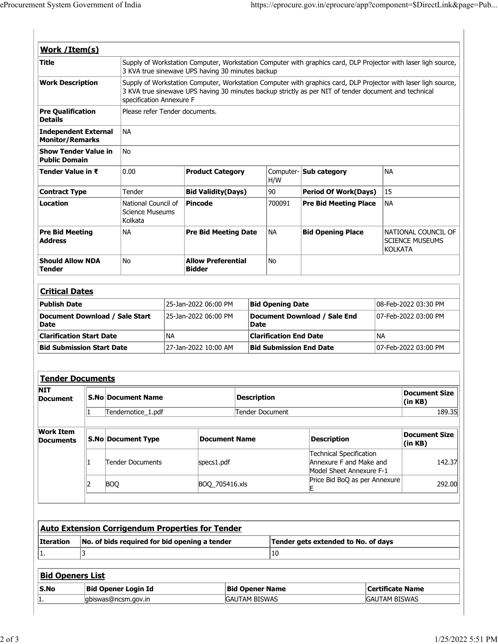| Work / Item(s)                                        |                         |                                                         |                                                                                                                                                                                                                                                     |                           |                         |                                             |                                            |                                                                                       |                               |                                               |  |
|-------------------------------------------------------|-------------------------|---------------------------------------------------------|-----------------------------------------------------------------------------------------------------------------------------------------------------------------------------------------------------------------------------------------------------|---------------------------|-------------------------|---------------------------------------------|--------------------------------------------|---------------------------------------------------------------------------------------|-------------------------------|-----------------------------------------------|--|
| <b>Title</b>                                          |                         |                                                         | Supply of Workstation Computer, Workstation Computer with graphics card, DLP Projector with laser ligh source,<br>3 KVA true sinewave UPS having 30 minutes backup                                                                                  |                           |                         |                                             |                                            |                                                                                       |                               |                                               |  |
| <b>Work Description</b>                               |                         |                                                         | Supply of Workstation Computer, Workstation Computer with graphics card, DLP Projector with laser ligh source,<br>3 KVA true sinewave UPS having 30 minutes backup strictly as per NIT of tender document and technical<br>specification Annexure F |                           |                         |                                             |                                            |                                                                                       |                               |                                               |  |
| <b>Pre Qualification</b><br><b>Details</b>            |                         |                                                         | Please refer Tender documents.                                                                                                                                                                                                                      |                           |                         |                                             |                                            |                                                                                       |                               |                                               |  |
| <b>Independent External</b><br><b>Monitor/Remarks</b> |                         | <b>NA</b>                                               |                                                                                                                                                                                                                                                     |                           |                         |                                             |                                            |                                                                                       |                               |                                               |  |
| <b>Show Tender Value in</b><br><b>Public Domain</b>   |                         | No                                                      |                                                                                                                                                                                                                                                     |                           |                         |                                             |                                            |                                                                                       |                               |                                               |  |
| Tender Value in ₹                                     |                         | 0.00                                                    |                                                                                                                                                                                                                                                     |                           | <b>Product Category</b> |                                             | H/W                                        | <b>NA</b><br>Computer- Sub category                                                   |                               |                                               |  |
| <b>Contract Type</b>                                  |                         | Tender                                                  |                                                                                                                                                                                                                                                     | <b>Bid Validity(Days)</b> |                         |                                             | 90                                         | <b>Period Of Work(Days)</b>                                                           | 15                            |                                               |  |
| Location                                              |                         | Kolkata                                                 | National Council of<br><b>Science Museums</b>                                                                                                                                                                                                       |                           | <b>Pincode</b>          |                                             | 700091                                     | <b>Pre Bid Meeting Place</b>                                                          | NA.                           |                                               |  |
| <b>Pre Bid Meeting</b><br><b>Address</b>              |                         | <b>NA</b>                                               | <b>Pre Bid Meeting Date</b>                                                                                                                                                                                                                         |                           |                         |                                             | NА                                         | <b>Bid Opening Place</b>                                                              | <b>KOLKATA</b>                | NATIONAL COUNCIL OF<br><b>SCIENCE MUSEUMS</b> |  |
| <b>Tender</b>                                         | <b>Should Allow NDA</b> |                                                         | <b>No</b><br><b>Allow Preferential</b><br><b>Bidder</b>                                                                                                                                                                                             |                           |                         |                                             | No                                         |                                                                                       |                               |                                               |  |
| <b>Critical Dates</b>                                 |                         |                                                         |                                                                                                                                                                                                                                                     |                           |                         |                                             |                                            |                                                                                       |                               |                                               |  |
| <b>Publish Date</b>                                   |                         | 25-Jan-2022 06:00 PM                                    |                                                                                                                                                                                                                                                     |                           | <b>Bid Opening Date</b> |                                             |                                            | 08-Feb-2022 03:30 PM                                                                  |                               |                                               |  |
| Document Download / Sale Start<br><b>Date</b>         |                         |                                                         | 25-Jan-2022 06:00 PM                                                                                                                                                                                                                                |                           |                         | Document Download / Sale End<br><b>Date</b> |                                            |                                                                                       |                               | 07-Feb-2022 03:00 PM                          |  |
| <b>Clarification Start Date</b>                       |                         |                                                         | <b>NA</b>                                                                                                                                                                                                                                           |                           |                         |                                             | <b>Clarification End Date</b><br><b>NA</b> |                                                                                       |                               |                                               |  |
| <b>Bid Submission Start Date</b>                      |                         |                                                         |                                                                                                                                                                                                                                                     | 27-Jan-2022 10:00 AM      |                         |                                             | <b>Bid Submission End Date</b>             |                                                                                       |                               | 07-Feb-2022 03:00 PM                          |  |
|                                                       |                         |                                                         |                                                                                                                                                                                                                                                     |                           |                         |                                             |                                            |                                                                                       |                               |                                               |  |
| <b>Tender Documents</b>                               |                         |                                                         |                                                                                                                                                                                                                                                     |                           |                         |                                             |                                            |                                                                                       |                               |                                               |  |
| NIT<br><b>Document</b>                                |                         | <b>S.No Document Name</b>                               |                                                                                                                                                                                                                                                     |                           |                         | <b>Description</b>                          |                                            |                                                                                       |                               | <b>Document Size</b><br>(in KB)               |  |
|                                                       | 1                       | Tendernotice_1.pdf                                      |                                                                                                                                                                                                                                                     |                           |                         | Tender Document                             |                                            |                                                                                       |                               | 189.35                                        |  |
| <b>Work Item</b><br><b>Documents</b>                  |                         | <b>S.No Document Type</b>                               |                                                                                                                                                                                                                                                     |                           |                         | <b>Document Name</b>                        |                                            |                                                                                       | <b>Description</b>            |                                               |  |
|                                                       |                         | <b>Tender Documents</b>                                 |                                                                                                                                                                                                                                                     | specs1.pdf                |                         |                                             |                                            | <b>Technical Specification</b><br>Annexure F and Make and<br>Model Sheet Annexure F-1 |                               | 142.37                                        |  |
|                                                       |                         |                                                         |                                                                                                                                                                                                                                                     |                           |                         | BOQ_705416.xls<br>E                         |                                            |                                                                                       | Price Bid BoQ as per Annexure | 292.00                                        |  |
|                                                       | 12                      | <b>BOQ</b>                                              |                                                                                                                                                                                                                                                     |                           |                         |                                             |                                            |                                                                                       |                               |                                               |  |
|                                                       |                         |                                                         |                                                                                                                                                                                                                                                     |                           |                         |                                             |                                            |                                                                                       |                               |                                               |  |
|                                                       |                         |                                                         |                                                                                                                                                                                                                                                     |                           |                         |                                             |                                            |                                                                                       |                               |                                               |  |
|                                                       |                         | <b>Auto Extension Corrigendum Properties for Tender</b> |                                                                                                                                                                                                                                                     |                           |                         |                                             |                                            |                                                                                       |                               |                                               |  |
|                                                       |                         | No. of bids required for bid opening a tender           |                                                                                                                                                                                                                                                     |                           |                         |                                             |                                            | Tender gets extended to No. of days                                                   |                               |                                               |  |
| 1.                                                    | 3                       |                                                         |                                                                                                                                                                                                                                                     |                           |                         |                                             | 10                                         |                                                                                       |                               |                                               |  |
|                                                       |                         |                                                         |                                                                                                                                                                                                                                                     |                           |                         |                                             |                                            |                                                                                       |                               |                                               |  |
| <b>Iteration</b><br><b>Bid Openers List</b><br>S.No   |                         | <b>Bid Opener Login Id</b>                              |                                                                                                                                                                                                                                                     |                           | <b>Bid Opener Name</b>  |                                             |                                            |                                                                                       | <b>Certificate Name</b>       |                                               |  |